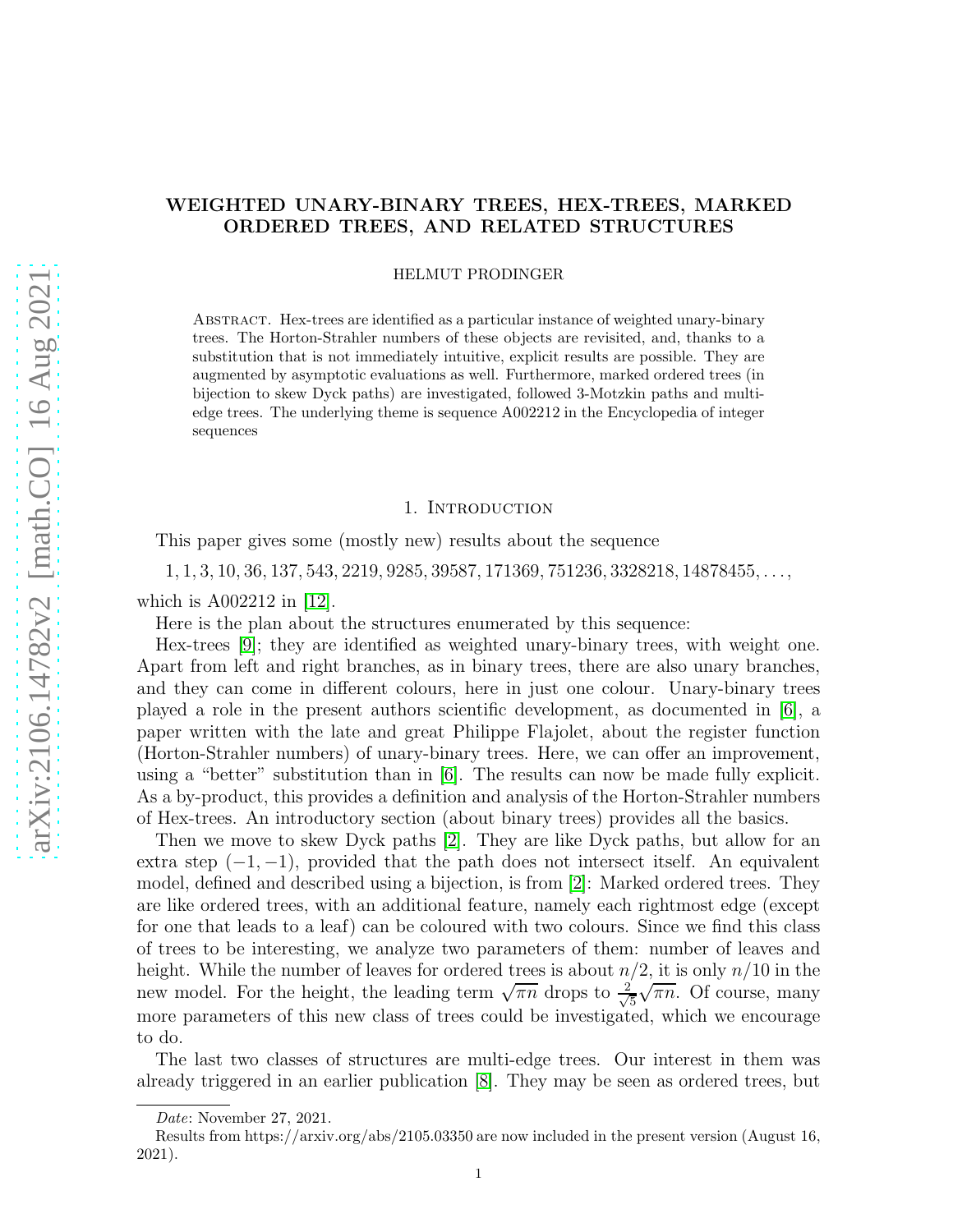# WEIGHTED UNARY-BINARY TREES, HEX-TREES, MARKED ORDERED TREES, AND RELATED STRUCTURES

HELMUT PRODINGER

Abstract. Hex-trees are identified as a particular instance of weighted unary-binary trees. The Horton-Strahler numbers of these objects are revisited, and, thanks to a substitution that is not immediately intuitive, explicit results are possible. They are augmented by asymptotic evaluations as well. Furthermore, marked ordered trees (in bijection to skew Dyck paths) are investigated, followed 3-Motzkin paths and multiedge trees. The underlying theme is sequence A002212 in the Encyclopedia of integer sequences

### 1. INTRODUCTION

This paper gives some (mostly new) results about the sequence

 $1, 1, 3, 10, 36, 137, 543, 2219, 9285, 39587, 171369, 751236, 3328218, 14878455, \ldots,$ which is A002212 in [\[12\]](#page-11-0).

Here is the plan about the structures enumerated by this sequence:

Hex-trees [\[9\]](#page-11-1); they are identified as weighted unary-binary trees, with weight one. Apart from left and right branches, as in binary trees, there are also unary branches, and they can come in different colours, here in just one colour. Unary-binary trees played a role in the present authors scientific development, as documented in [\[6\]](#page-11-2), a paper written with the late and great Philippe Flajolet, about the register function (Horton-Strahler numbers) of unary-binary trees. Here, we can offer an improvement, using a "better" substitution than in [\[6\]](#page-11-2). The results can now be made fully explicit. As a by-product, this provides a definition and analysis of the Horton-Strahler numbers of Hex-trees. An introductory section (about binary trees) provides all the basics.

Then we move to skew Dyck paths [\[2\]](#page-11-3). They are like Dyck paths, but allow for an extra step  $(-1, -1)$ , provided that the path does not intersect itself. An equivalent model, defined and described using a bijection, is from [\[2\]](#page-11-3): Marked ordered trees. They are like ordered trees, with an additional feature, namely each rightmost edge (except for one that leads to a leaf) can be coloured with two colours. Since we find this class of trees to be interesting, we analyze two parameters of them: number of leaves and height. While the number of leaves for ordered trees is about  $n/2$ , it is only  $n/10$  in the new model. For the height, the leading term  $\sqrt{\pi n}$  drops to  $\frac{2}{\sqrt{2}}$ 5  $\sqrt{\pi n}$ . Of course, many more parameters of this new class of trees could be investigated, which we encourage to do.

The last two classes of structures are multi-edge trees. Our interest in them was already triggered in an earlier publication [\[8\]](#page-11-4). They may be seen as ordered trees, but

*Date*: November 27, 2021.

Results from https://arxiv.org/abs/2105.03350 are now included in the present version (August 16, 2021).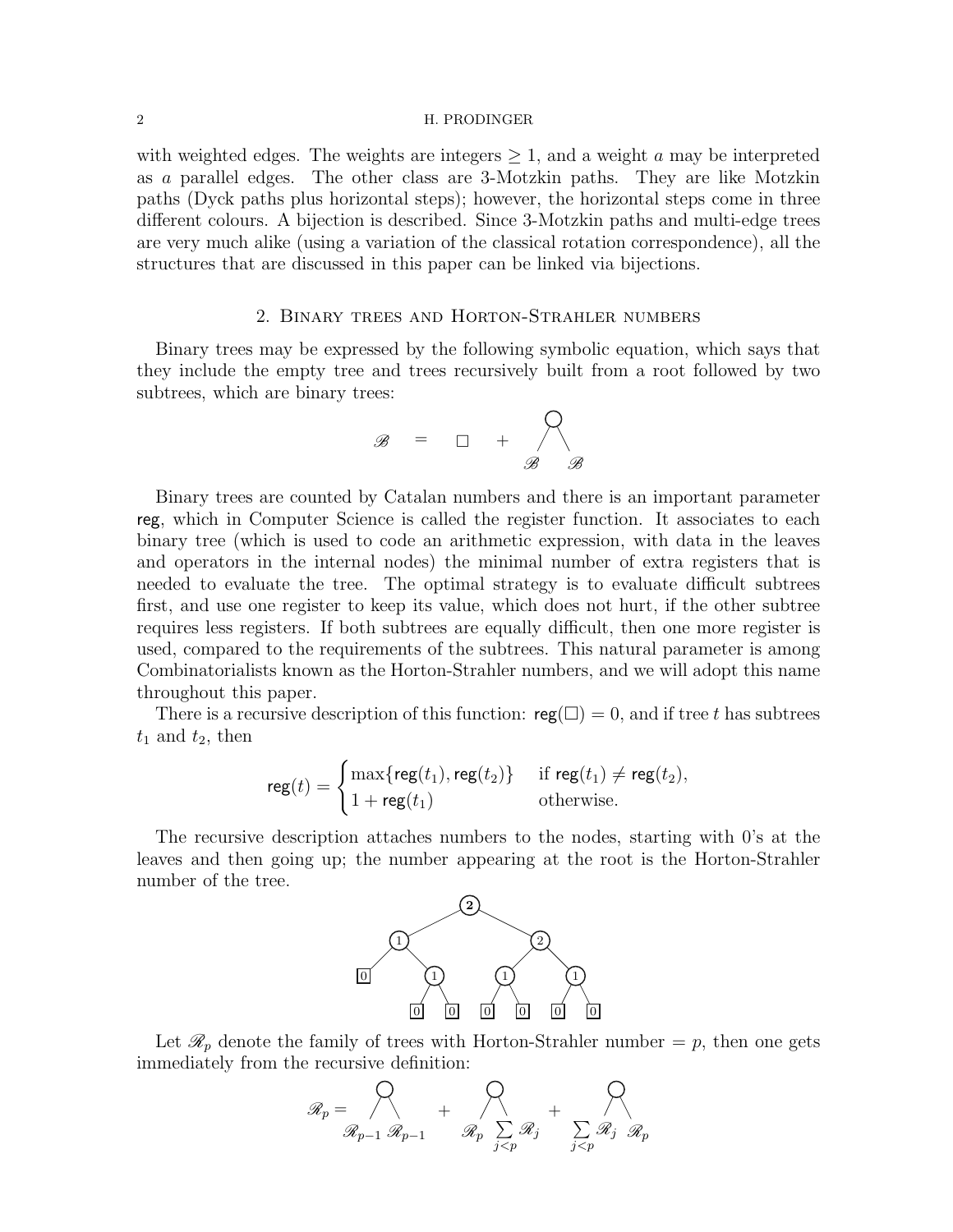### 2 H. PRODINGER

with weighted edges. The weights are integers  $\geq 1$ , and a weight a may be interpreted as a parallel edges. The other class are 3-Motzkin paths. They are like Motzkin paths (Dyck paths plus horizontal steps); however, the horizontal steps come in three different colours. A bijection is described. Since 3-Motzkin paths and multi-edge trees are very much alike (using a variation of the classical rotation correspondence), all the structures that are discussed in this paper can be linked via bijections.

# 2. Binary trees and Horton-Strahler numbers

Binary trees may be expressed by the following symbolic equation, which says that they include the empty tree and trees recursively built from a root followed by two subtrees, which are binary trees:

$$
\mathscr{B} = \square + \bigwedge_{\mathscr{B}} \mathscr{B}
$$

Binary trees are counted by Catalan numbers and there is an important parameter reg, which in Computer Science is called the register function. It associates to each binary tree (which is used to code an arithmetic expression, with data in the leaves and operators in the internal nodes) the minimal number of extra registers that is needed to evaluate the tree. The optimal strategy is to evaluate difficult subtrees first, and use one register to keep its value, which does not hurt, if the other subtree requires less registers. If both subtrees are equally difficult, then one more register is used, compared to the requirements of the subtrees. This natural parameter is among Combinatorialists known as the Horton-Strahler numbers, and we will adopt this name throughout this paper.

There is a recursive description of this function:  $reg(\square) = 0$ , and if tree t has subtrees  $t_1$  and  $t_2$ , then

$$
\mathsf{reg}(t) = \begin{cases} \max\{\mathsf{reg}(t_1), \mathsf{reg}(t_2)\} & \text{if } \mathsf{reg}(t_1) \neq \mathsf{reg}(t_2), \\ 1 + \mathsf{reg}(t_1) & \text{otherwise.} \end{cases}
$$

The recursive description attaches numbers to the nodes, starting with 0's at the leaves and then going up; the number appearing at the root is the Horton-Strahler number of the tree.



Let  $\mathcal{R}_p$  denote the family of trees with Horton-Strahler number  $=p$ , then one gets immediately from the recursive definition:

$$
\mathscr{R}_p = \bigotimes_{\mathscr{R}_{p-1}} \mathscr{R}_{p-1} + \bigotimes_{\mathscr{R}_p} \sum_{\substack{j \leq p}} \mathscr{R}_j + \bigotimes_{\substack{j \leq p}} \mathscr{R}_j \mathscr{R}_p
$$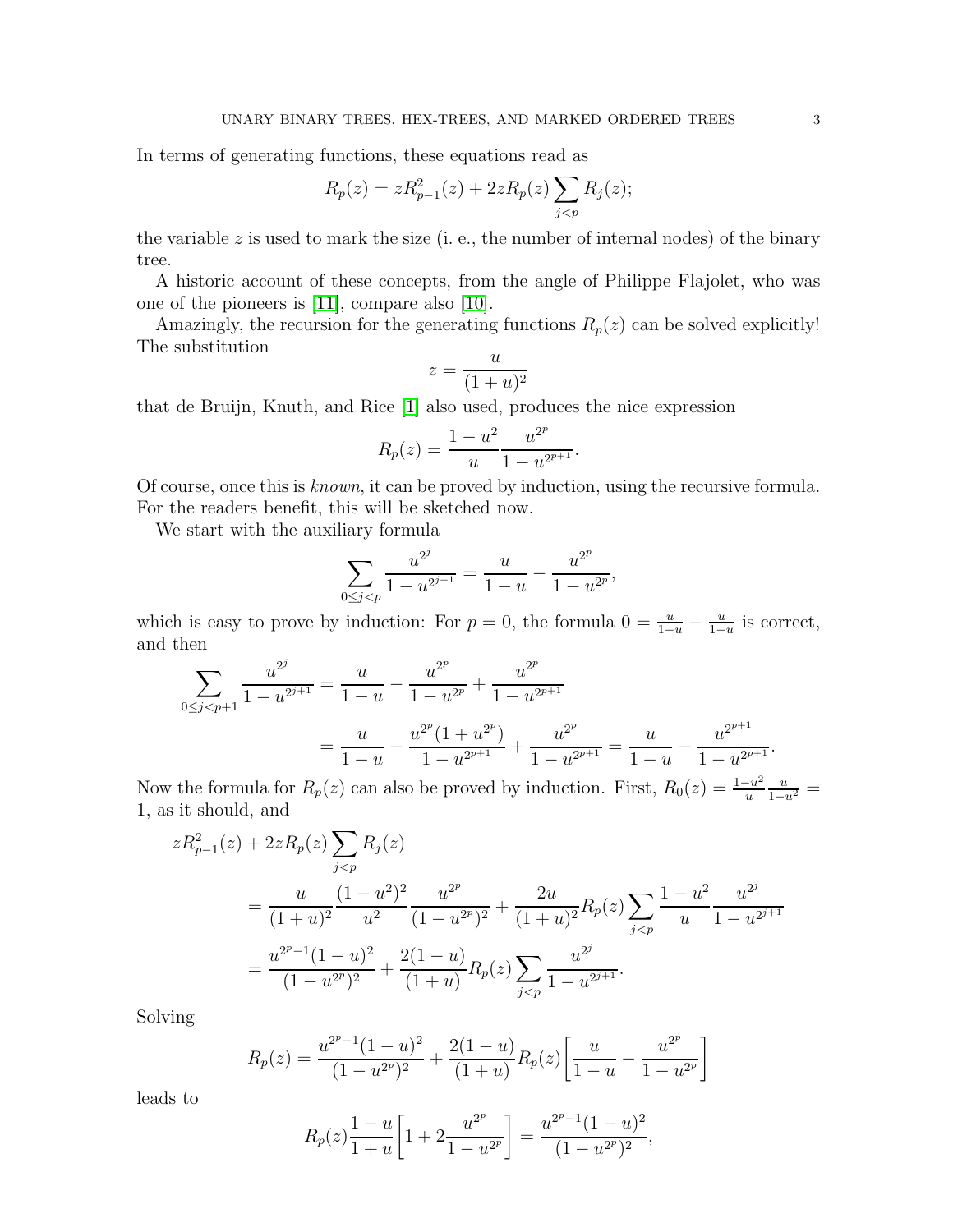In terms of generating functions, these equations read as

$$
R_p(z) = zR_{p-1}^2(z) + 2zR_p(z)\sum_{j < p} R_j(z);
$$

the variable  $z$  is used to mark the size (i. e., the number of internal nodes) of the binary tree.

A historic account of these concepts, from the angle of Philippe Flajolet, who was one of the pioneers is [\[11\]](#page-11-5), compare also [\[10\]](#page-11-6).

Amazingly, the recursion for the generating functions  $R_p(z)$  can be solved explicitly! The substitution

$$
z = \frac{u}{(1+u)^2}
$$

that de Bruijn, Knuth, and Rice [\[1\]](#page-11-7) also used, produces the nice expression

$$
R_p(z) = \frac{1 - u^2}{u} \frac{u^{2^p}}{1 - u^{2^{p+1}}}.
$$

Of course, once this is known, it can be proved by induction, using the recursive formula. For the readers benefit, this will be sketched now.

We start with the auxiliary formula

$$
\sum_{0 \le j < p} \frac{u^{2^j}}{1 - u^{2^{j+1}}} = \frac{u}{1 - u} - \frac{u^{2^p}}{1 - u^{2^p}},
$$

which is easy to prove by induction: For  $p = 0$ , the formula  $0 = \frac{u}{1-u} - \frac{u}{1-u}$  $\frac{u}{1-u}$  is correct, and then

$$
\sum_{0 \le j < p+1} \frac{u^{2^j}}{1 - u^{2^{j+1}}} = \frac{u}{1 - u} - \frac{u^{2^p}}{1 - u^{2^p}} + \frac{u^{2^p}}{1 - u^{2^{p+1}}}
$$
\n
$$
= \frac{u}{1 - u} - \frac{u^{2^p} (1 + u^{2^p})}{1 - u^{2^{p+1}}} + \frac{u^{2^p}}{1 - u^{2^{p+1}}} = \frac{u}{1 - u} - \frac{u^{2^{p+1}}}{1 - u^{2^{p+1}}}.
$$

Now the formula for  $R_p(z)$  can also be proved by induction. First,  $R_0(z) = \frac{1-u^2}{u}$ u  $\frac{u}{1-u^2} =$ 1, as it should, and

$$
zR_{p-1}^{2}(z) + 2zR_{p}(z) \sum_{j  
= 
$$
\frac{u}{(1+u)^{2}} \frac{(1-u^{2})^{2}}{u^{2}} \frac{u^{2^{p}}}{(1-u^{2^{p}})^{2}} + \frac{2u}{(1+u)^{2}} R_{p}(z) \sum_{j  
= 
$$
\frac{u^{2^{p}-1}(1-u)^{2}}{(1-u^{2^{p}})^{2}} + \frac{2(1-u)}{(1+u)} R_{p}(z) \sum_{j
$$
$$
$$

Solving

$$
R_p(z) = \frac{u^{2^p - 1}(1 - u)^2}{(1 - u^{2^p})^2} + \frac{2(1 - u)}{(1 + u)} R_p(z) \left[ \frac{u}{1 - u} - \frac{u^{2^p}}{1 - u^{2^p}} \right]
$$

leads to

$$
R_p(z)\frac{1-u}{1+u}\left[1+2\frac{u^{2^p}}{1-u^{2^p}}\right] = \frac{u^{2^p-1}(1-u)^2}{(1-u^{2^p})^2},
$$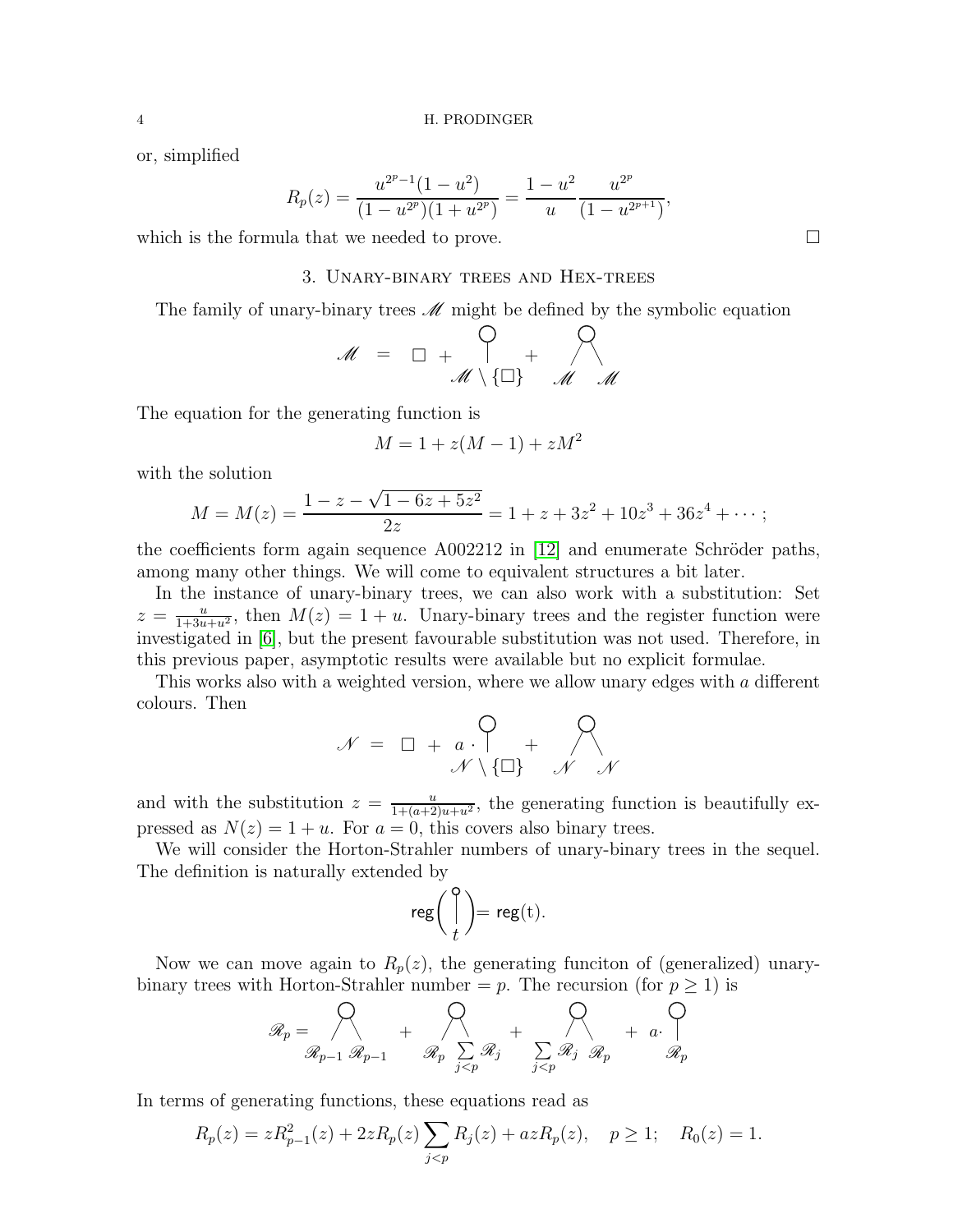or, simplified

$$
R_p(z) = \frac{u^{2^p - 1}(1 - u^2)}{(1 - u^{2^p})(1 + u^{2^p})} = \frac{1 - u^2}{u} \frac{u^{2^p}}{(1 - u^{2^{p+1}})}
$$

which is the formula that we needed to prove.  $\Box$ 

# 3. Unary-binary trees and Hex-trees

The family of unary-binary trees  $\mathcal M$  might be defined by the symbolic equation

$$
\mathcal{M} = \square + \bigcap_{\mathcal{M} \setminus \{\square\}} + \bigcap_{\mathcal{M} \setminus \mathcal{M}} \mathcal{M}
$$

The equation for the generating function is

$$
M = 1 + z(M - 1) + zM^2
$$

with the solution

$$
M = M(z) = \frac{1 - z - \sqrt{1 - 6z + 5z^2}}{2z} = 1 + z + 3z^2 + 10z^3 + 36z^4 + \dots;
$$

the coefficients form again sequence  $A002212$  in [\[12\]](#page-11-0) and enumerate Schröder paths, among many other things. We will come to equivalent structures a bit later.

In the instance of unary-binary trees, we can also work with a substitution: Set  $z = \frac{u}{1+3u+u^2}$ , then  $M(z) = 1 + u$ . Unary-binary trees and the register function were investigated in [\[6\]](#page-11-2), but the present favourable substitution was not used. Therefore, in this previous paper, asymptotic results were available but no explicit formulae.

This works also with a weighted version, where we allow unary edges with a different colours. Then

$$
\mathcal{N} = \Box + a \cdot \begin{matrix} 0 \\ + \end{matrix} + \begin{matrix} 0 \\ \mathcal{N} \end{matrix} \mathcal{N}
$$

and with the substitution  $z = \frac{u}{1+(u+2)u+u^2}$ , the generating function is beautifully expressed as  $N(z) = 1 + u$ . For  $a = 0$ , this covers also binary trees.

We will consider the Horton-Strahler numbers of unary-binary trees in the sequel. The definition is naturally extended by

$$
\mathsf{reg}\left(\begin{array}{c} \mathsf{0} \\ \mathsf{I} \end{array}\right) = \mathsf{reg}(\mathsf{t}).
$$

Now we can move again to  $R_p(z)$ , the generating funciton of (generalized) unarybinary trees with Horton-Strahler number = p. The recursion (for  $p \ge 1$ ) is

$$
\mathscr{R}_p = \bigvee_{\mathscr{R}_{p-1}} \mathscr{R}_{p-1} + \bigvee_{\mathscr{R}_p} \sum_{\substack{j \leq p \\ j < p}} \mathscr{R}_j + \bigvee_{\substack{j \leq p \\ j < p}} + a \cdot \bigvee_{\mathscr{R}_p} + a \cdot \bigvee_{\mathscr{R}_p}
$$

In terms of generating functions, these equations read as

$$
R_p(z) = zR_{p-1}^2(z) + 2zR_p(z)\sum_{j < p} R_j(z) + azR_p(z), \quad p \ge 1; \quad R_0(z) = 1.
$$

,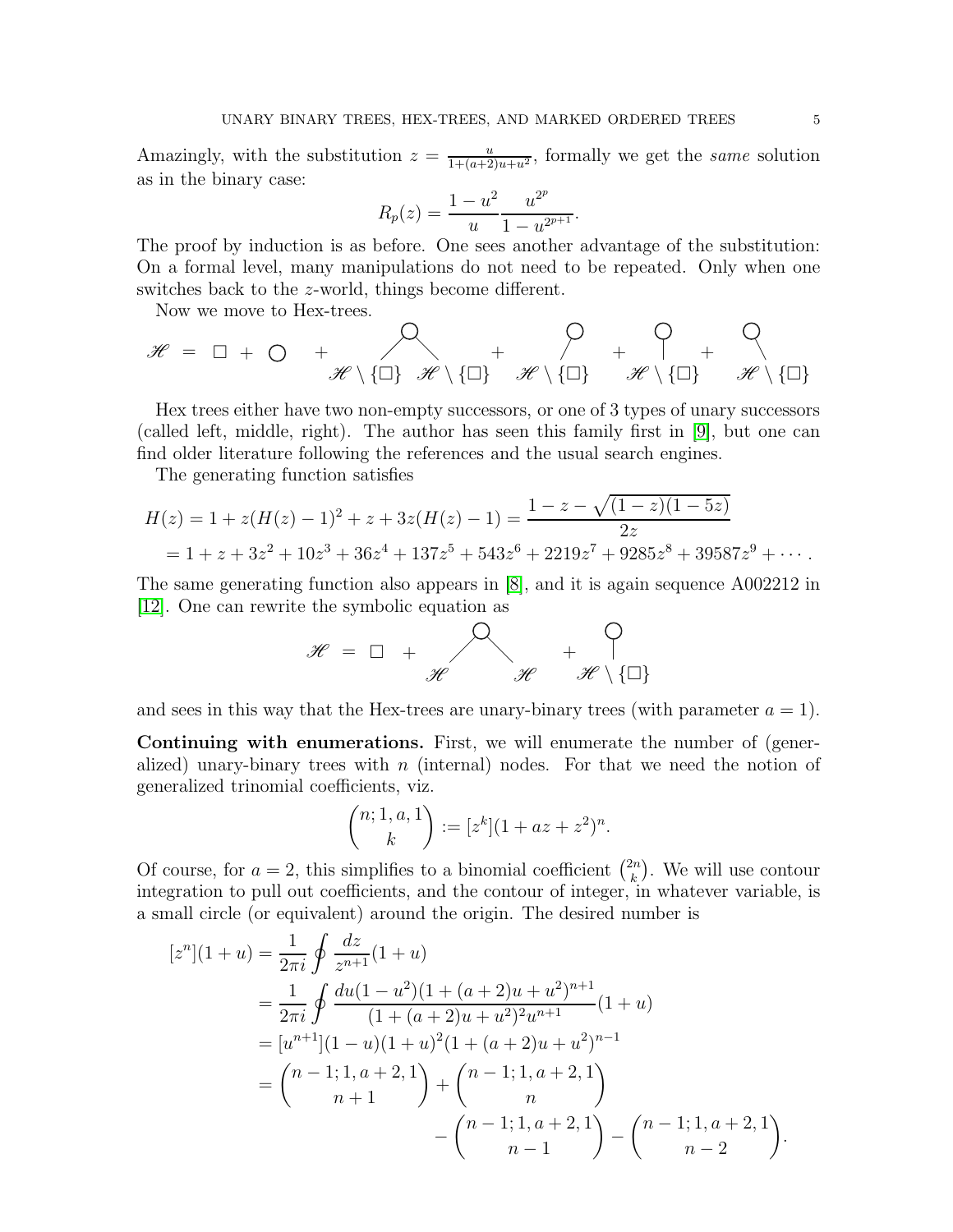Amazingly, with the substitution  $z = \frac{u}{1 + (a+2)u+u^2}$ , formally we get the same solution as in the binary case:

$$
R_p(z) = \frac{1 - u^2}{u} \frac{u^{2^p}}{1 - u^{2^{p+1}}}.
$$

The proof by induction is as before. One sees another advantage of the substitution: On a formal level, many manipulations do not need to be repeated. Only when one switches back to the z-world, things become different.

Now we move to Hex-trees.

$$
\mathscr{H} = \Box + \bigcirc + \bigotimes_{\mathscr{H} \setminus \{\Box\}} \mathscr{H} \setminus \{\Box\} + \bigotimes_{\mathscr{H} \setminus \{\Box\}} + \bigotimes_{\mathscr{H} \setminus \{\Box\}} + \bigotimes_{\mathscr{H} \setminus \{\Box\}} + \bigotimes_{\mathscr{H} \setminus \{\Box\}}
$$

Hex trees either have two non-empty successors, or one of 3 types of unary successors (called left, middle, right). The author has seen this family first in [\[9\]](#page-11-1), but one can find older literature following the references and the usual search engines.

The generating function satisfies

$$
H(z) = 1 + z(H(z) - 1)^2 + z + 3z(H(z) - 1) = \frac{1 - z - \sqrt{(1 - z)(1 - 5z)}}{2z}
$$
  
= 1 + z + 3z<sup>2</sup> + 10z<sup>3</sup> + 36z<sup>4</sup> + 137z<sup>5</sup> + 543z<sup>6</sup> + 2219z<sup>7</sup> + 9285z<sup>8</sup> + 39587z<sup>9</sup> + · · · .

The same generating function also appears in [\[8\]](#page-11-4), and it is again sequence A002212 in [\[12\]](#page-11-0). One can rewrite the symbolic equation as

$$
\mathscr{H} = \Box + \begin{matrix} 0 & & & \Box \\ & \mathscr{H} & & \mathscr{H} \setminus \{\Box\} \end{matrix}
$$

and sees in this way that the Hex-trees are unary-binary trees (with parameter  $a = 1$ ).

Continuing with enumerations. First, we will enumerate the number of (generalized) unary-binary trees with  $n$  (internal) nodes. For that we need the notion of generalized trinomial coefficients, viz.

$$
\binom{n; 1, a, 1}{k} := [z^k](1 + az + z^2)^n.
$$

Of course, for  $a = 2$ , this simplifies to a binomial coefficient  $\binom{2n}{k}$  $\binom{2n}{k}$ . We will use contour integration to pull out coefficients, and the contour of integer, in whatever variable, is a small circle (or equivalent) around the origin. The desired number is

$$
[zn](1+u) = \frac{1}{2\pi i} \oint \frac{dz}{z^{n+1}} (1+u)
$$
  
=  $\frac{1}{2\pi i} \oint \frac{du(1-u^2)(1+(a+2)u+u^2)^{n+1}}{(1+(a+2)u+u^2)^2u^{n+1}} (1+u)$   
=  $[u^{n+1}](1-u)(1+u)^2(1+(a+2)u+u^2)^{n-1}$   
=  $\binom{n-1;1,a+2,1}{n+1} + \binom{n-1;1,a+2,1}{n} - \binom{n-1;1,a+2,1}{n-2} - \binom{n-1;1,a+2,1}{n-2}.$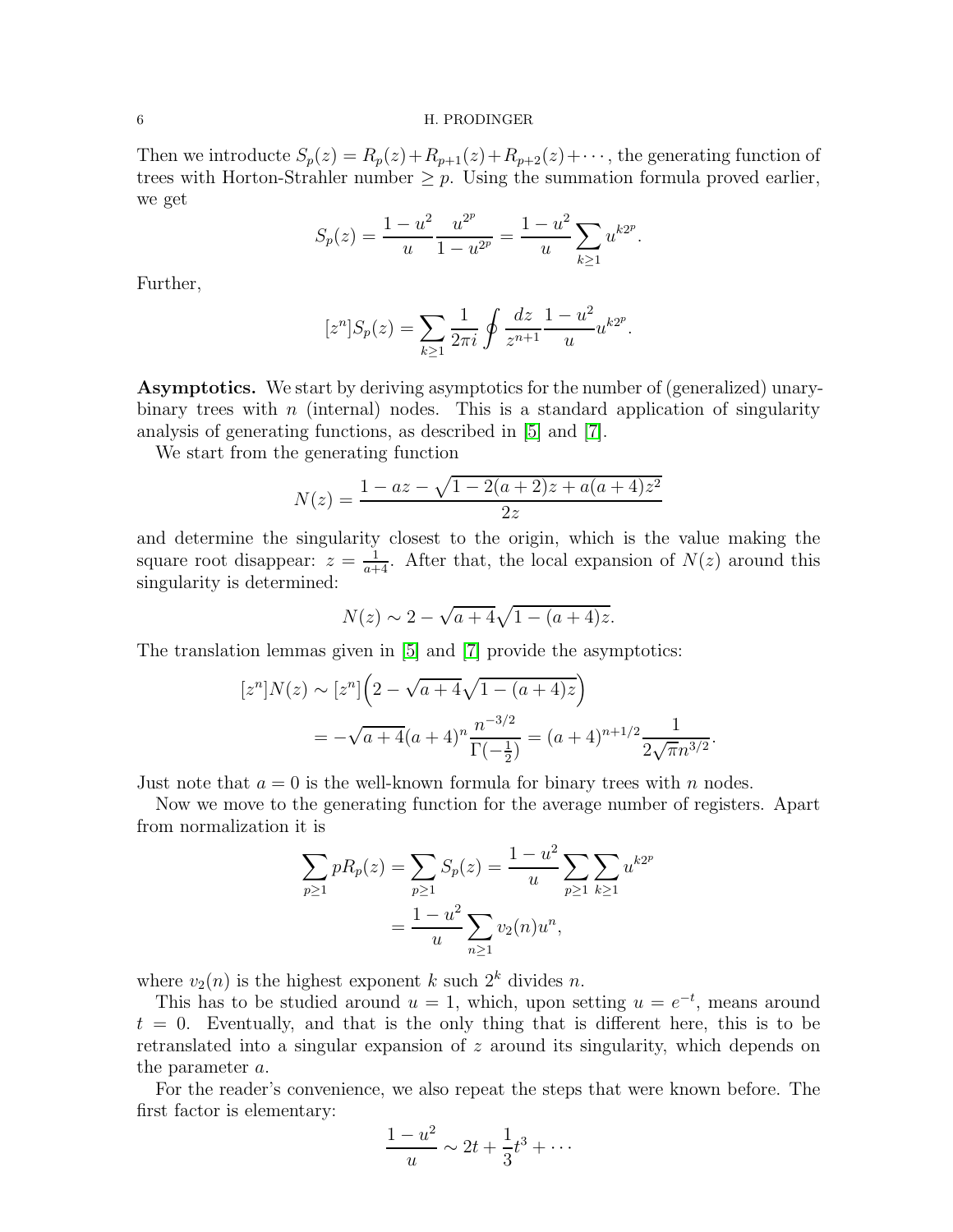#### 6 H. PRODINGER

Then we introducte  $S_p(z) = R_p(z) + R_{p+1}(z) + R_{p+2}(z) + \cdots$ , the generating function of trees with Horton-Strahler number  $\geq p$ . Using the summation formula proved earlier, we get

$$
S_p(z) = \frac{1 - u^2}{u} \frac{u^{2^p}}{1 - u^{2^p}} = \frac{1 - u^2}{u} \sum_{k \ge 1} u^{k2^p}.
$$

Further,

$$
[z^{n}]S_{p}(z) = \sum_{k \ge 1} \frac{1}{2\pi i} \oint \frac{dz}{z^{n+1}} \frac{1 - u^{2}}{u} u^{k2^{p}}.
$$

Asymptotics. We start by deriving asymptotics for the number of (generalized) unarybinary trees with  $n$  (internal) nodes. This is a standard application of singularity analysis of generating functions, as described in [\[5\]](#page-11-8) and [\[7\]](#page-11-9).

We start from the generating function

$$
N(z) = \frac{1 - az - \sqrt{1 - 2(a + 2)z + a(a + 4)z^2}}{2z}
$$

and determine the singularity closest to the origin, which is the value making the square root disappear:  $z = \frac{1}{a+4}$ . After that, the local expansion of  $N(z)$  around this singularity is determined:

$$
N(z) \sim 2 - \sqrt{a + 4} \sqrt{1 - (a + 4)z}.
$$

The translation lemmas given in [\[5\]](#page-11-8) and [\[7\]](#page-11-9) provide the asymptotics:

$$
[zn]N(z) \sim [zn]\left(2 - \sqrt{a+4}\sqrt{1 - (a+4)z}\right)
$$
  
=  $-\sqrt{a+4}(a+4)^n \frac{n^{-3/2}}{\Gamma(-\frac{1}{2})} = (a+4)^{n+1/2} \frac{1}{2\sqrt{\pi}n^{3/2}}.$ 

Just note that  $a = 0$  is the well-known formula for binary trees with n nodes.

Now we move to the generating function for the average number of registers. Apart from normalization it is

$$
\sum_{p\geq 1} pR_p(z) = \sum_{p\geq 1} S_p(z) = \frac{1 - u^2}{u} \sum_{p\geq 1} \sum_{k\geq 1} u^{k2^p}
$$

$$
= \frac{1 - u^2}{u} \sum_{n\geq 1} v_2(n)u^n,
$$

where  $v_2(n)$  is the highest exponent k such  $2^k$  divides n.

This has to be studied around  $u = 1$ , which, upon setting  $u = e^{-t}$ , means around  $t = 0$ . Eventually, and that is the only thing that is different here, this is to be retranslated into a singular expansion of z around its singularity, which depends on the parameter a.

For the reader's convenience, we also repeat the steps that were known before. The first factor is elementary:

$$
\frac{1-u^2}{u} \sim 2t + \frac{1}{3}t^3 + \cdots
$$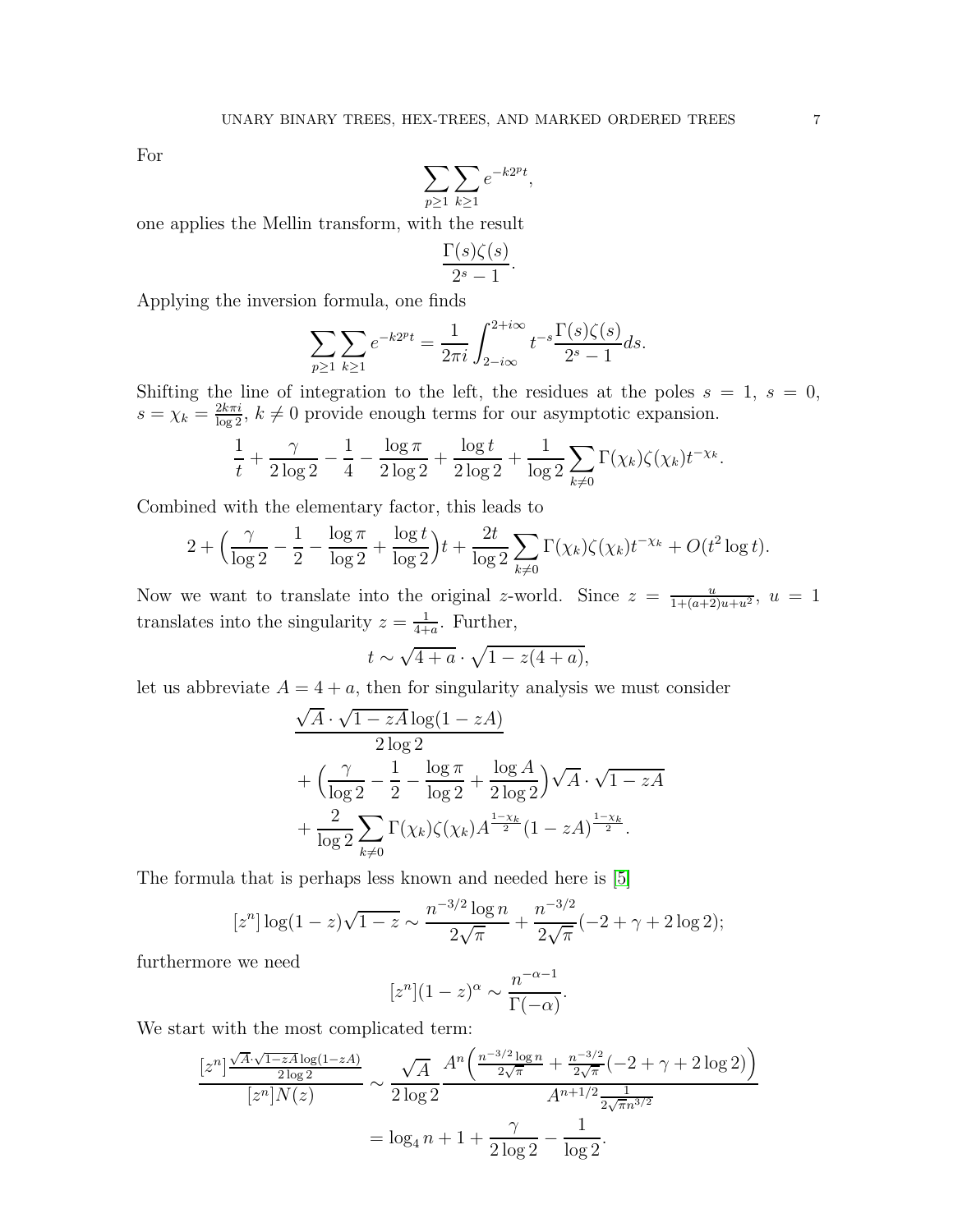For

$$
\sum_{p\geq 1}\sum_{k\geq 1}e^{-k2^pt},
$$

one applies the Mellin transform, with the result

$$
\frac{\Gamma(s)\zeta(s)}{2^s-1}
$$

.

Applying the inversion formula, one finds

$$
\sum_{p\geq 1} \sum_{k\geq 1} e^{-k2^{p}t} = \frac{1}{2\pi i} \int_{2-i\infty}^{2+i\infty} t^{-s} \frac{\Gamma(s)\zeta(s)}{2^{s} - 1} ds.
$$

Shifting the line of integration to the left, the residues at the poles  $s = 1, s = 0$ ,  $s = \chi_k = \frac{2k\pi i}{\log 2}$ ,  $k \neq 0$  provide enough terms for our asymptotic expansion.

$$
\frac{1}{t} + \frac{\gamma}{2 \log 2} - \frac{1}{4} - \frac{\log \pi}{2 \log 2} + \frac{\log t}{2 \log 2} + \frac{1}{\log 2} \sum_{k \neq 0} \Gamma(\chi_k) \zeta(\chi_k) t^{-\chi_k}.
$$

Combined with the elementary factor, this leads to

$$
2 + \left(\frac{\gamma}{\log 2} - \frac{1}{2} - \frac{\log \pi}{\log 2} + \frac{\log t}{\log 2}\right)t + \frac{2t}{\log 2} \sum_{k \neq 0} \Gamma(\chi_k) \zeta(\chi_k) t^{-\chi_k} + O(t^2 \log t).
$$

Now we want to translate into the original z-world. Since  $z = \frac{u}{1+(a+2)u+u^2}$ ,  $u = 1$ translates into the singularity  $z = \frac{1}{4+1}$  $\frac{1}{4+a}$ . Further,

$$
t \sim \sqrt{4+a} \cdot \sqrt{1-z(4+a)},
$$

let us abbreviate  $A = 4 + a$ , then for singularity analysis we must consider

$$
\frac{\sqrt{A} \cdot \sqrt{1 - zA} \log(1 - zA)}{2 \log 2} + \left(\frac{\gamma}{\log 2} - \frac{1}{2} - \frac{\log \pi}{\log 2} + \frac{\log A}{2 \log 2}\right) \sqrt{A} \cdot \sqrt{1 - zA} + \frac{2}{\log 2} \sum_{k \neq 0} \Gamma(\chi_k) \zeta(\chi_k) A^{\frac{1 - \chi_k}{2}} (1 - zA)^{\frac{1 - \chi_k}{2}}.
$$

The formula that is perhaps less known and needed here is [\[5\]](#page-11-8)

$$
[zn] \log(1-z)\sqrt{1-z} \sim \frac{n^{-3/2}\log n}{2\sqrt{\pi}} + \frac{n^{-3/2}}{2\sqrt{\pi}}(-2+\gamma+2\log 2);
$$

furthermore we need

$$
[z^n](1-z)^{\alpha} \sim \frac{n^{-\alpha-1}}{\Gamma(-\alpha)}.
$$

We start with the most complicated term:

$$
\frac{[z^n]^{\frac{\sqrt{A}\cdot\sqrt{1-zA}\log(1-zA)}{2\log 2}}}{[z^n]N(z)} \sim \frac{\sqrt{A}}{2\log 2} \frac{A^n \left(\frac{n^{-3/2}\log n}{2\sqrt{\pi}} + \frac{n^{-3/2}}{2\sqrt{\pi}}(-2+\gamma+2\log 2)\right)}{A^{n+1/2} \frac{1}{2\sqrt{\pi}n^{3/2}}}
$$

$$
= \log_4 n + 1 + \frac{\gamma}{2\log 2} - \frac{1}{\log 2}.
$$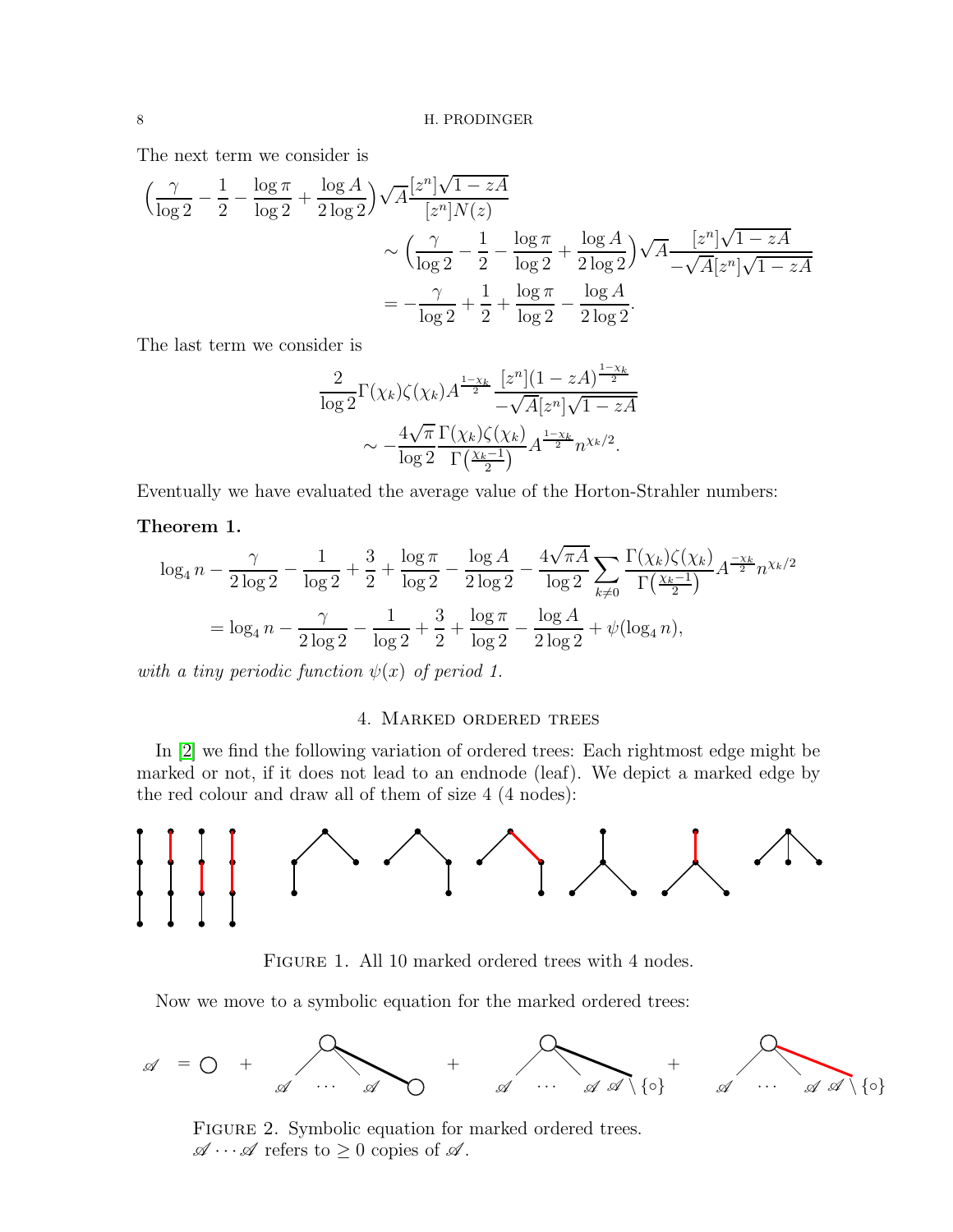The next term we consider is

$$
\left(\frac{\gamma}{\log 2} - \frac{1}{2} - \frac{\log \pi}{\log 2} + \frac{\log A}{2 \log 2}\right) \sqrt{A} \frac{[z^n] \sqrt{1 - zA}}{[z^n] N(z)} \n\sim \left(\frac{\gamma}{\log 2} - \frac{1}{2} - \frac{\log \pi}{\log 2} + \frac{\log A}{2 \log 2}\right) \sqrt{A} \frac{[z^n] \sqrt{1 - zA}}{-\sqrt{A} [z^n] \sqrt{1 - zA}} \n= -\frac{\gamma}{\log 2} + \frac{1}{2} + \frac{\log \pi}{\log 2} - \frac{\log A}{2 \log 2}.
$$

The last term we consider is

$$
\frac{2}{\log 2} \Gamma(\chi_k) \zeta(\chi_k) A^{\frac{1-\chi_k}{2}} \frac{[z^n](1 - zA)^{\frac{1-\chi_k}{2}}}{-\sqrt{A} [z^n] \sqrt{1 - zA}} \sim -\frac{4\sqrt{\pi}}{\log 2} \frac{\Gamma(\chi_k) \zeta(\chi_k)}{\Gamma(\frac{\chi_k - 1}{2})} A^{\frac{1-\chi_k}{2}} n^{\chi_k/2}.
$$

Eventually we have evaluated the average value of the Horton-Strahler numbers:

# Theorem 1.

$$
\log_4 n - \frac{\gamma}{2 \log 2} - \frac{1}{\log 2} + \frac{3}{2} + \frac{\log \pi}{\log 2} - \frac{\log A}{2 \log 2} - \frac{4 \sqrt{\pi A}}{\log 2} \sum_{k \neq 0} \frac{\Gamma(\chi_k) \zeta(\chi_k)}{\Gamma(\frac{\chi_k - 1}{2})} A^{\frac{-\chi_k}{2}} n^{\chi_k/2}
$$

$$
= \log_4 n - \frac{\gamma}{2 \log 2} - \frac{1}{\log 2} + \frac{3}{2} + \frac{\log \pi}{\log 2} - \frac{\log A}{2 \log 2} + \psi(\log_4 n),
$$

with a tiny periodic function  $\psi(x)$  of period 1.

# 4. Marked ordered trees

In [\[2\]](#page-11-3) we find the following variation of ordered trees: Each rightmost edge might be marked or not, if it does not lead to an endnode (leaf). We depict a marked edge by the red colour and draw all of them of size 4 (4 nodes):



FIGURE 1. All 10 marked ordered trees with 4 nodes.

Now we move to a symbolic equation for the marked ordered trees:



FIGURE 2. Symbolic equation for marked ordered trees.  $\mathscr{A}\cdots\mathscr{A}$  refers to  $\geq 0$  copies of  $\mathscr{A}$ .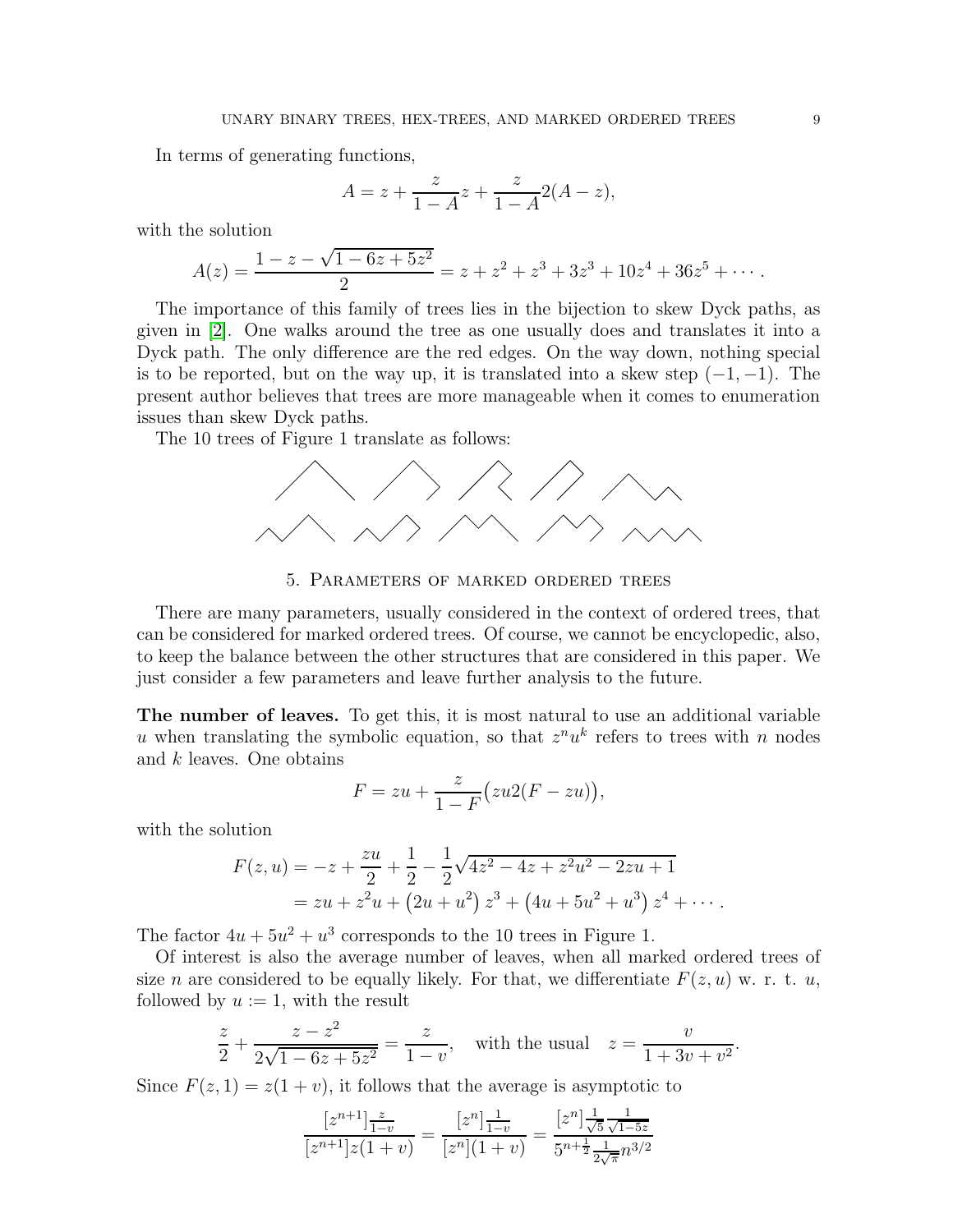In terms of generating functions,

$$
A = z + \frac{z}{1 - A}z + \frac{z}{1 - A}2(A - z),
$$

with the solution

$$
A(z) = \frac{1 - z - \sqrt{1 - 6z + 5z^2}}{2} = z + z^2 + z^3 + 3z^3 + 10z^4 + 36z^5 + \cdots
$$

The importance of this family of trees lies in the bijection to skew Dyck paths, as given in [\[2\]](#page-11-3). One walks around the tree as one usually does and translates it into a Dyck path. The only difference are the red edges. On the way down, nothing special is to be reported, but on the way up, it is translated into a skew step  $(-1, -1)$ . The present author believes that trees are more manageable when it comes to enumeration issues than skew Dyck paths.

The 10 trees of Figure 1 translate as follows:



5. Parameters of marked ordered trees

There are many parameters, usually considered in the context of ordered trees, that can be considered for marked ordered trees. Of course, we cannot be encyclopedic, also, to keep the balance between the other structures that are considered in this paper. We just consider a few parameters and leave further analysis to the future.

The number of leaves. To get this, it is most natural to use an additional variable u when translating the symbolic equation, so that  $z^n u^k$  refers to trees with n nodes and k leaves. One obtains

$$
F = zu + \frac{z}{1 - F} \big( zu2(F - zu) \big),
$$

with the solution

$$
F(z, u) = -z + \frac{zu}{2} + \frac{1}{2} - \frac{1}{2}\sqrt{4z^2 - 4z + z^2u^2 - 2zu + 1}
$$
  
=  $zu + z^2u + (2u + u^2) z^3 + (4u + 5u^2 + u^3) z^4 + \cdots$ 

The factor  $4u + 5u^2 + u^3$  corresponds to the 10 trees in Figure 1.

Of interest is also the average number of leaves, when all marked ordered trees of size n are considered to be equally likely. For that, we differentiate  $F(z, u)$  w. r. t. u, followed by  $u := 1$ , with the result

$$
\frac{z}{2} + \frac{z - z^2}{2\sqrt{1 - 6z + 5z^2}} = \frac{z}{1 - v}, \text{ with the usual } z = \frac{v}{1 + 3v + v^2}.
$$

Since  $F(z, 1) = z(1 + v)$ , it follows that the average is asymptotic to

$$
\frac{[z^{n+1}] \frac{z}{1-v}}{[z^{n+1}] z(1+v)} = \frac{[z^n] \frac{1}{1-v}}{[z^n](1+v)} = \frac{[z^n] \frac{1}{\sqrt{5}} \frac{1}{\sqrt{1-5z}}}{5^{n+\frac{1}{2}} \frac{1}{2\sqrt{\pi}} n^{3/2}}
$$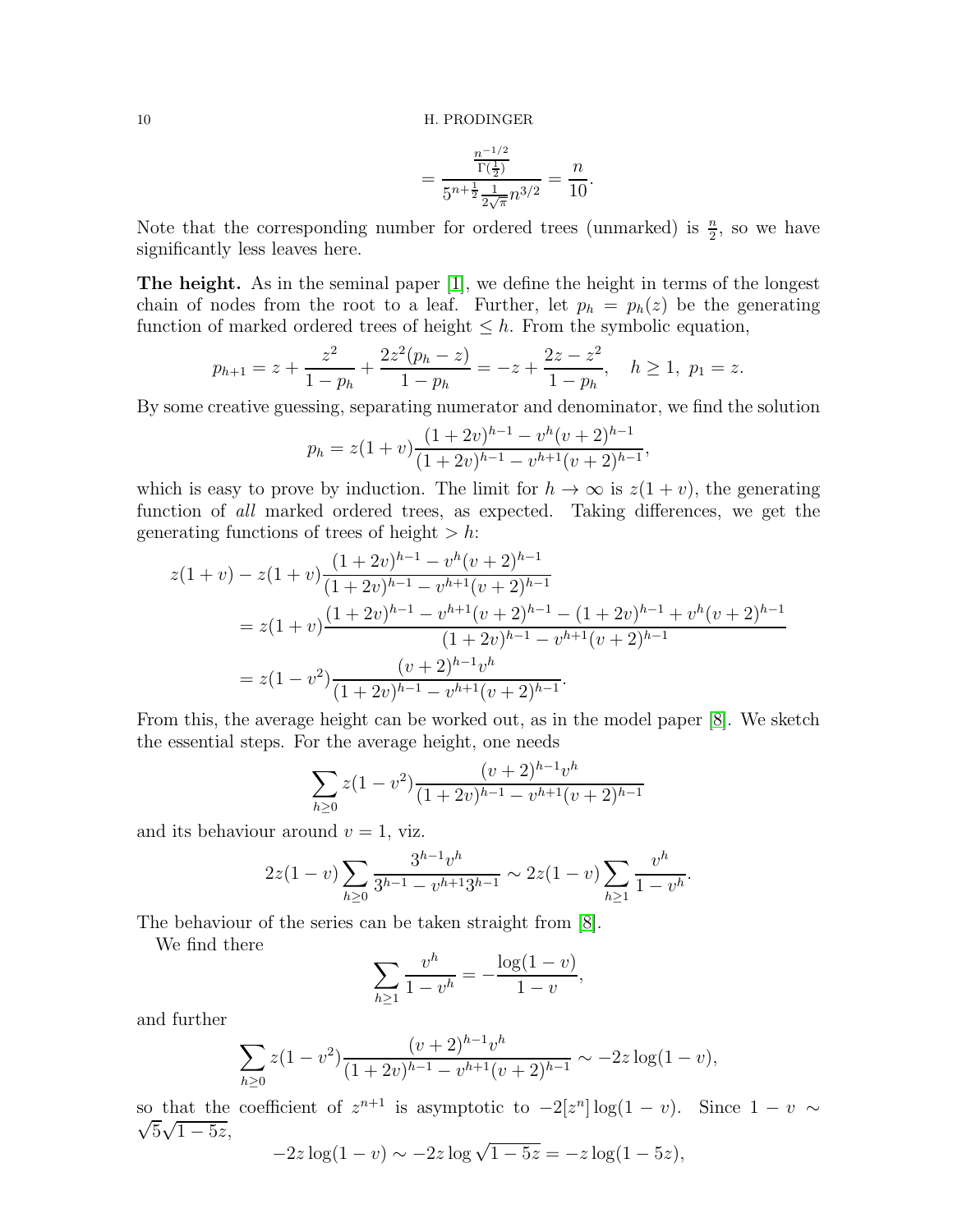$$
=\frac{\frac{n^{-1/2}}{\Gamma(\frac{1}{2})}}{5^{n+\frac{1}{2}}\frac{1}{2\sqrt{\pi}}n^{3/2}}=\frac{n}{10}.
$$

Note that the corresponding number for ordered trees (unmarked) is  $\frac{n}{2}$ , so we have significantly less leaves here.

The height. As in the seminal paper [\[1\]](#page-11-7), we define the height in terms of the longest chain of nodes from the root to a leaf. Further, let  $p_h = p_h(z)$  be the generating function of marked ordered trees of height  $\leq h$ . From the symbolic equation,

$$
p_{h+1} = z + \frac{z^2}{1 - p_h} + \frac{2z^2(p_h - z)}{1 - p_h} = -z + \frac{2z - z^2}{1 - p_h}, \quad h \ge 1, \ p_1 = z.
$$

By some creative guessing, separating numerator and denominator, we find the solution

$$
p_h = z(1+v)\frac{(1+2v)^{h-1} - v^h(v+2)^{h-1}}{(1+2v)^{h-1} - v^{h+1}(v+2)^{h-1}},
$$

which is easy to prove by induction. The limit for  $h \to \infty$  is  $z(1 + v)$ , the generating function of all marked ordered trees, as expected. Taking differences, we get the generating functions of trees of height  $> h$ :

$$
z(1+v) - z(1+v)\frac{(1+2v)^{h-1} - v^h(v+2)^{h-1}}{(1+2v)^{h-1} - v^{h+1}(v+2)^{h-1}}
$$
  
=  $z(1+v)\frac{(1+2v)^{h-1} - v^{h+1}(v+2)^{h-1} - (1+2v)^{h-1} + v^h(v+2)^{h-1}}{(1+2v)^{h-1} - v^{h+1}(v+2)^{h-1}}$   
=  $z(1-v^2)\frac{(v+2)^{h-1}v^h}{(1+2v)^{h-1} - v^{h+1}(v+2)^{h-1}}.$ 

From this, the average height can be worked out, as in the model paper [\[8\]](#page-11-4). We sketch the essential steps. For the average height, one needs

$$
\sum_{h\geq 0} z(1-v^2) \frac{(v+2)^{h-1}v^h}{(1+2v)^{h-1} - v^{h+1}(v+2)^{h-1}}
$$

and its behaviour around  $v = 1$ , viz.

$$
2z(1-v)\sum_{h\geq 0}\frac{3^{h-1}v^h}{3^{h-1}-v^{h+1}3^{h-1}}\sim 2z(1-v)\sum_{h\geq 1}\frac{v^h}{1-v^h}.
$$

The behaviour of the series can be taken straight from [\[8\]](#page-11-4).

We find there

$$
\sum_{h\geq 1} \frac{v^h}{1 - v^h} = -\frac{\log(1 - v)}{1 - v},
$$

and further

$$
\sum_{h\geq 0} z(1-v^2) \frac{(v+2)^{h-1}v^h}{(1+2v)^{h-1}-v^{h+1}(v+2)^{h-1}} \sim -2z \log(1-v),
$$

so that the coefficient of  $z^{n+1}$  is asymptotic to  $-2[z^n] \log(1-v)$ . Since  $1-v \sim$  $\sqrt{5}\sqrt{1-5z}$ ,

 $-2z \log(1 - v) \sim -2z \log \sqrt{1 - 5z} = -z \log(1 - 5z),$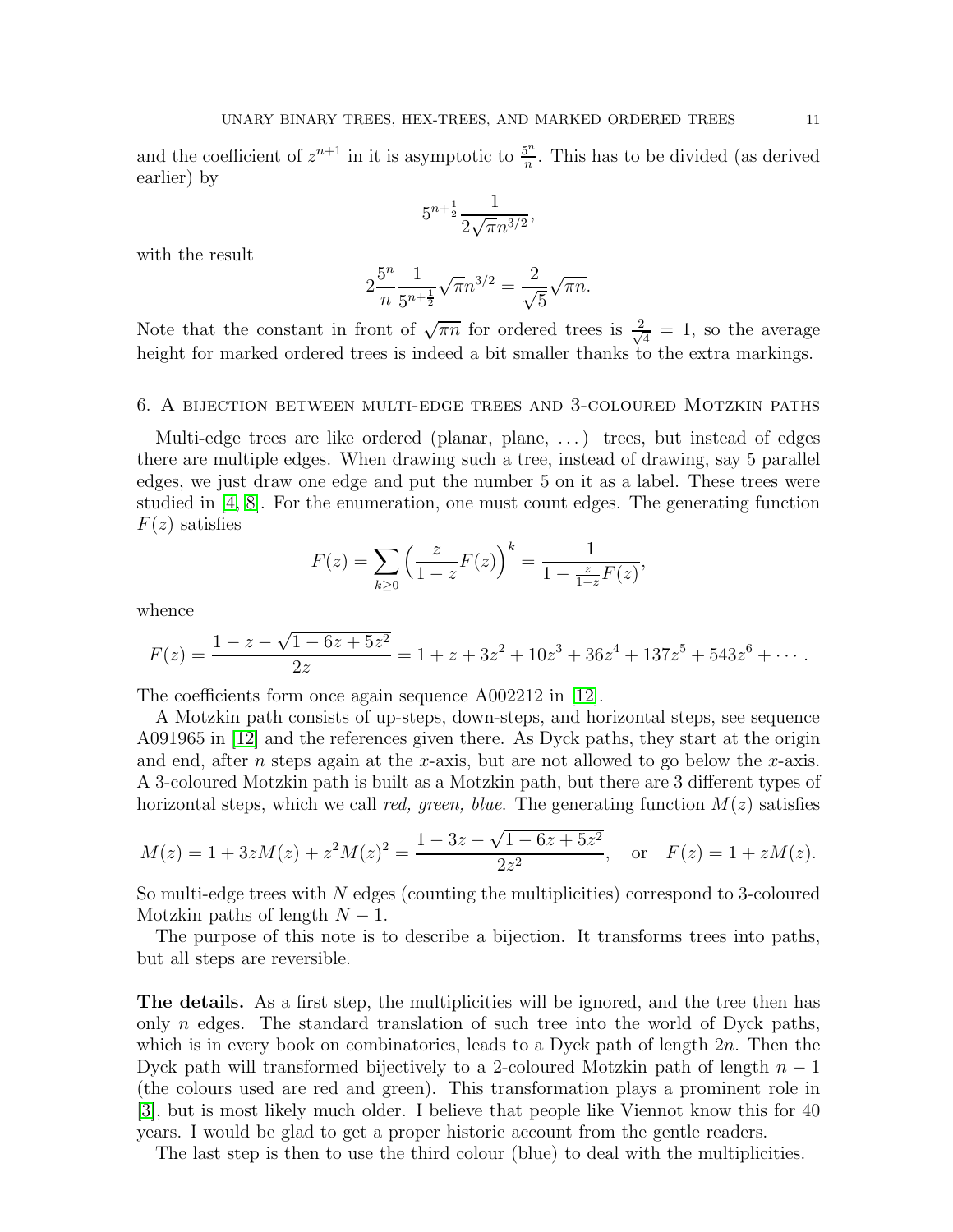and the coefficient of  $z^{n+1}$  in it is asymptotic to  $\frac{5^n}{n}$  $\frac{\partial^n}{\partial n}$ . This has to be divided (as derived earlier) by

$$
5^{n+\frac{1}{2}}\frac{1}{2\sqrt{\pi}n^{3/2}},
$$

with the result

$$
2\frac{5^n}{n}\frac{1}{5^{n+\frac{1}{2}}}\sqrt{\pi}n^{3/2} = \frac{2}{\sqrt{5}}\sqrt{\pi n}.
$$

Note that the constant in front of  $\sqrt{\pi n}$  for ordered trees is  $\frac{2}{\sqrt{n}}$  $\frac{1}{4}$  = 1, so the average height for marked ordered trees is indeed a bit smaller thanks to the extra markings.

## 6. A bijection between multi-edge trees and 3-coloured Motzkin paths

Multi-edge trees are like ordered (planar, plane, ...) trees, but instead of edges there are multiple edges. When drawing such a tree, instead of drawing, say 5 parallel edges, we just draw one edge and put the number 5 on it as a label. These trees were studied in [\[4,](#page-11-10) [8\]](#page-11-4). For the enumeration, one must count edges. The generating function  $F(z)$  satisfies

$$
F(z) = \sum_{k \ge 0} \left( \frac{z}{1 - z} F(z) \right)^k = \frac{1}{1 - \frac{z}{1 - z} F(z)},
$$

whence

$$
F(z) = \frac{1 - z - \sqrt{1 - 6z + 5z^2}}{2z} = 1 + z + 3z^2 + 10z^3 + 36z^4 + 137z^5 + 543z^6 + \cdots
$$

The coefficients form once again sequence A002212 in [\[12\]](#page-11-0).

A Motzkin path consists of up-steps, down-steps, and horizontal steps, see sequence A091965 in [\[12\]](#page-11-0) and the references given there. As Dyck paths, they start at the origin and end, after n steps again at the x-axis, but are not allowed to go below the x-axis. A 3-coloured Motzkin path is built as a Motzkin path, but there are 3 different types of horizontal steps, which we call red, green, blue. The generating function  $M(z)$  satisfies

$$
M(z) = 1 + 3zM(z) + z2M(z)2 = \frac{1 - 3z - \sqrt{1 - 6z + 5z2}}{2z2}, \text{ or } F(z) = 1 + zM(z).
$$

So multi-edge trees with N edges (counting the multiplicities) correspond to 3-coloured Motzkin paths of length  $N-1$ .

The purpose of this note is to describe a bijection. It transforms trees into paths, but all steps are reversible.

The details. As a first step, the multiplicities will be ignored, and the tree then has only n edges. The standard translation of such tree into the world of Dyck paths, which is in every book on combinatorics, leads to a Dyck path of length  $2n$ . Then the Dyck path will transformed bijectively to a 2-coloured Motzkin path of length  $n-1$ (the colours used are red and green). This transformation plays a prominent role in [\[3\]](#page-11-11), but is most likely much older. I believe that people like Viennot know this for 40 years. I would be glad to get a proper historic account from the gentle readers.

The last step is then to use the third colour (blue) to deal with the multiplicities.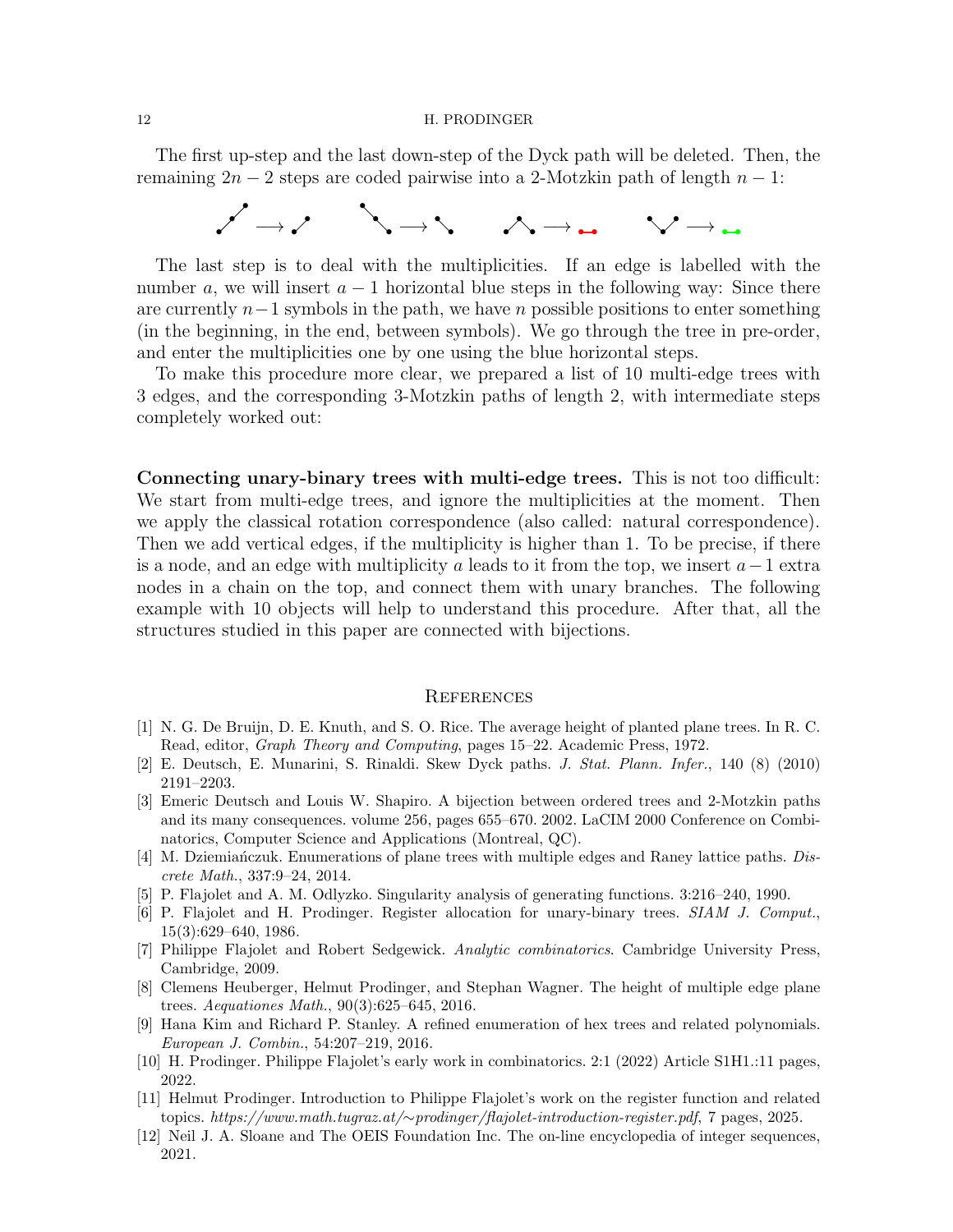#### 12 H. PRODINGER

The first up-step and the last down-step of the Dyck path will be deleted. Then, the remaining  $2n-2$  steps are coded pairwise into a 2-Motzkin path of length  $n-1$ :



The last step is to deal with the multiplicities. If an edge is labelled with the number a, we will insert  $a - 1$  horizontal blue steps in the following way: Since there are currently  $n-1$  symbols in the path, we have n possible positions to enter something (in the beginning, in the end, between symbols). We go through the tree in pre-order, and enter the multiplicities one by one using the blue horizontal steps.

To make this procedure more clear, we prepared a list of 10 multi-edge trees with 3 edges, and the corresponding 3-Motzkin paths of length 2, with intermediate steps completely worked out:

Connecting unary-binary trees with multi-edge trees. This is not too difficult: We start from multi-edge trees, and ignore the multiplicities at the moment. Then we apply the classical rotation correspondence (also called: natural correspondence). Then we add vertical edges, if the multiplicity is higher than 1. To be precise, if there is a node, and an edge with multiplicity a leads to it from the top, we insert  $a-1$  extra nodes in a chain on the top, and connect them with unary branches. The following example with 10 objects will help to understand this procedure. After that, all the structures studied in this paper are connected with bijections.

### **REFERENCES**

- <span id="page-11-7"></span>[1] N. G. De Bruijn, D. E. Knuth, and S. O. Rice. The average height of planted plane trees. In R. C. Read, editor, *Graph Theory and Computing*, pages 15–22. Academic Press, 1972.
- <span id="page-11-11"></span><span id="page-11-3"></span>[2] E. Deutsch, E. Munarini, S. Rinaldi. Skew Dyck paths. *J. Stat. Plann. Infer.*, 140 (8) (2010) 2191–2203.
- [3] Emeric Deutsch and Louis W. Shapiro. A bijection between ordered trees and 2-Motzkin paths and its many consequences. volume 256, pages 655–670. 2002. LaCIM 2000 Conference on Combinatorics, Computer Science and Applications (Montreal, QC).
- <span id="page-11-10"></span>[4] M. Dziemiańczuk. Enumerations of plane trees with multiple edges and Raney lattice paths. *Discrete Math.*, 337:9–24, 2014.
- <span id="page-11-8"></span><span id="page-11-2"></span>[5] P. Flajolet and A. M. Odlyzko. Singularity analysis of generating functions. 3:216–240, 1990.
- [6] P. Flajolet and H. Prodinger. Register allocation for unary-binary trees. *SIAM J. Comput.*, 15(3):629–640, 1986.
- <span id="page-11-9"></span>[7] Philippe Flajolet and Robert Sedgewick. *Analytic combinatorics*. Cambridge University Press, Cambridge, 2009.
- <span id="page-11-4"></span>[8] Clemens Heuberger, Helmut Prodinger, and Stephan Wagner. The height of multiple edge plane trees. *Aequationes Math.*, 90(3):625–645, 2016.
- <span id="page-11-1"></span>[9] Hana Kim and Richard P. Stanley. A refined enumeration of hex trees and related polynomials. *European J. Combin.*, 54:207–219, 2016.
- <span id="page-11-6"></span><span id="page-11-5"></span>[10] H. Prodinger. Philippe Flajolet's early work in combinatorics. 2:1 (2022) Article S1H1.:11 pages, 2022.
- [11] Helmut Prodinger. Introduction to Philippe Flajolet's work on the register function and related topics. *https://www.math.tugraz.at/*∼*prodinger/flajolet-introduction-register.pdf*, 7 pages, 2025.
- <span id="page-11-0"></span>[12] Neil J. A. Sloane and The OEIS Foundation Inc. The on-line encyclopedia of integer sequences, 2021.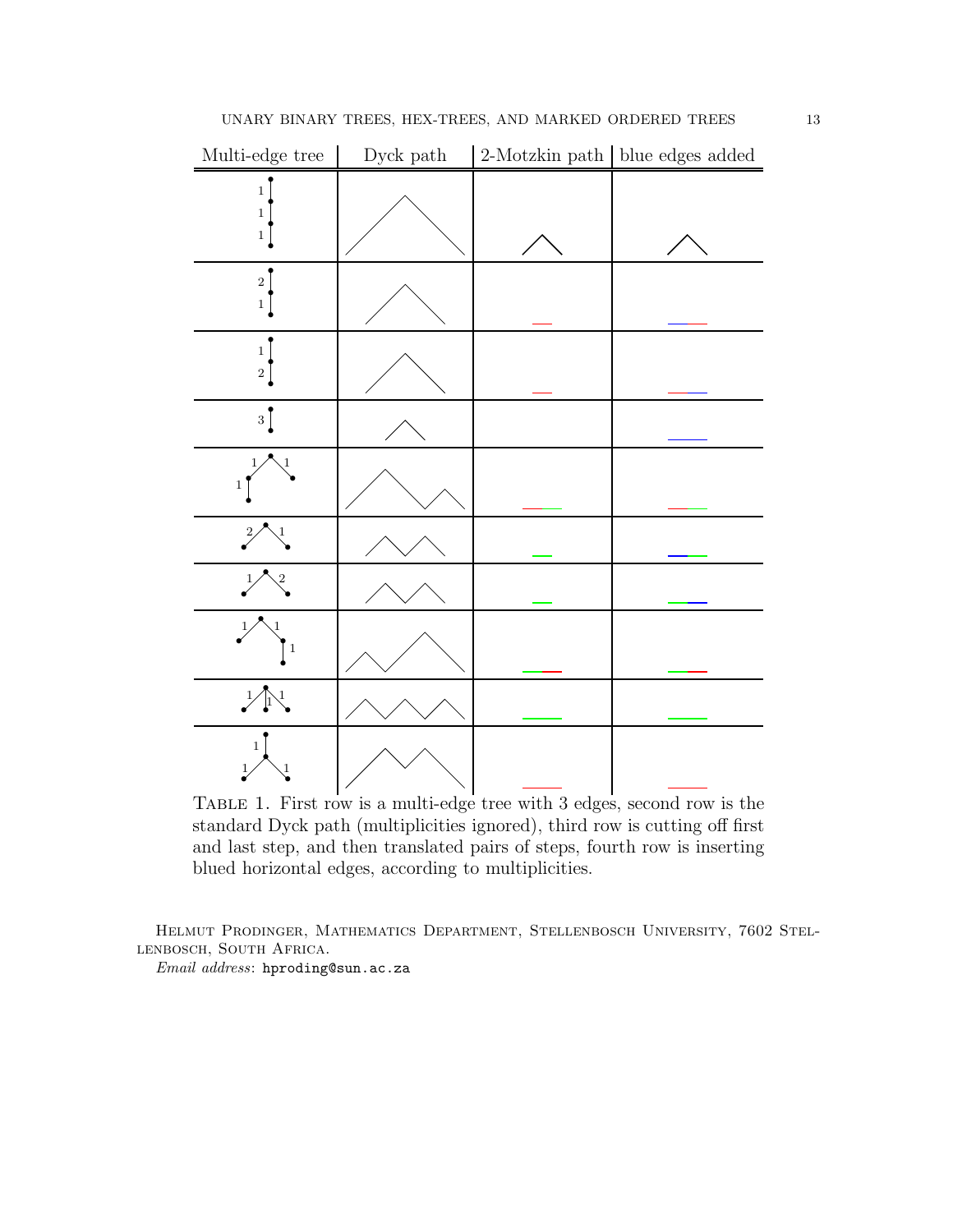

Table 1. First row is a multi-edge tree with 3 edges, second row is the standard Dyck path (multiplicities ignored), third row is cutting off first and last step, and then translated pairs of steps, fourth row is inserting blued horizontal edges, according to multiplicities.

Helmut Prodinger, Mathematics Department, Stellenbosch University, 7602 Stellenbosch, South Africa.

*Email address*: hproding@sun.ac.za